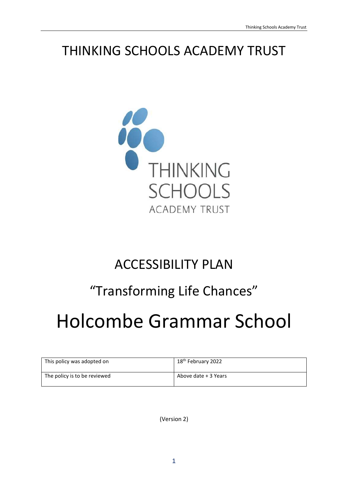# THINKING SCHOOLS ACADEMY TRUST



# ACCESSIBILITY PLAN

# "Transforming Life Chances"

# Holcombe Grammar School

| This policy was adopted on   | 18 <sup>th</sup> February 2022 |
|------------------------------|--------------------------------|
| The policy is to be reviewed | Above date + 3 Years           |

(Version 2)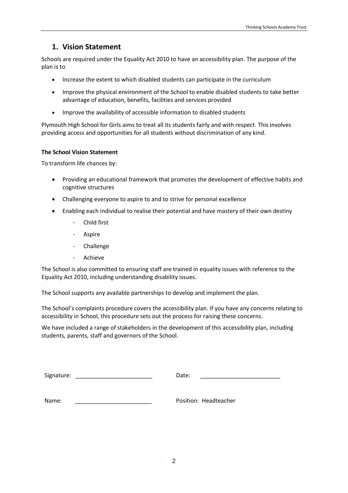#### **1. Vision Statement**

Schools are required under the Equality Act 2010 to have an accessibility plan. The purpose of the plan is to:

- Increase the extent to which disabled students can participate in the curriculum
- Improve the physical environment of the School to enable disabled students to take better advantage of education, benefits, facilities and services provided
- Improve the availability of accessible information to disabled students

Plymouth High School for Girls aims to treat all its students fairly and with respect. This involves providing access and opportunities for all students without discrimination of any kind.

#### **The School Vision Statement**

To transform life chances by:

- Providing an educational framework that promotes the development of effective habits and cognitive structures
- Challenging everyone to aspire to and to strive for personal excellence
- Enabling each individual to realise their potential and have mastery of their own destiny
	- Child first
	- Aspire
	- **Challenge**
	- **Achieve**

The School is also committed to ensuring staff are trained in equality issues with reference to the Equality Act 2010, including understanding disability issues.

The School supports any available partnerships to develop and implement the plan.

The School's complaints procedure covers the accessibility plan. If you have any concerns relating to accessibility in School, this procedure sets out the process for raising these concerns.

We have included a range of stakeholders in the development of this accessibility plan, including students, parents, staff and governors of the School.

| Signature: | Date. |  |
|------------|-------|--|
|------------|-------|--|

Name: Weill also a controlled a controller provided a Position: Headteacher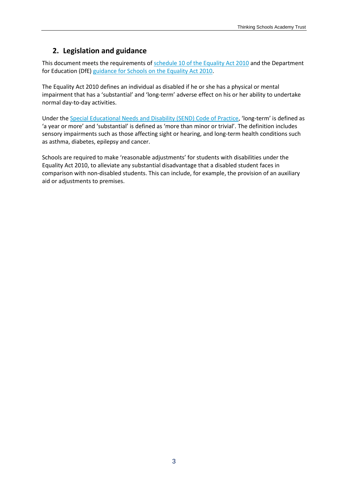### **2. Legislation and guidance**

This document meets the requirements of [schedule 10 of the Equality Act 2010](http://www.legislation.gov.uk/ukpga/2010/15/schedule/10) and the Department for Education (DfE) [guidance for Schools on the Equality Act 2010.](https://www.gov.uk/government/publications/equality-act-2010-advice-for-schools)

The Equality Act 2010 defines an individual as disabled if he or she has a physical or mental impairment that has a 'substantial' and 'long-term' adverse effect on his or her ability to undertake normal day-to-day activities.

Under the [Special Educational Needs and Disability \(SEND\) Code of Practice](https://www.gov.uk/government/publications/send-code-of-practice-0-to-25), 'long-term' is defined as 'a year or more' and 'substantial' is defined as 'more than minor or trivial'. The definition includes sensory impairments such as those affecting sight or hearing, and long-term health conditions such as asthma, diabetes, epilepsy and cancer.

Schools are required to make 'reasonable adjustments' for students with disabilities under the Equality Act 2010, to alleviate any substantial disadvantage that a disabled student faces in comparison with non-disabled students. This can include, for example, the provision of an auxiliary aid or adjustments to premises.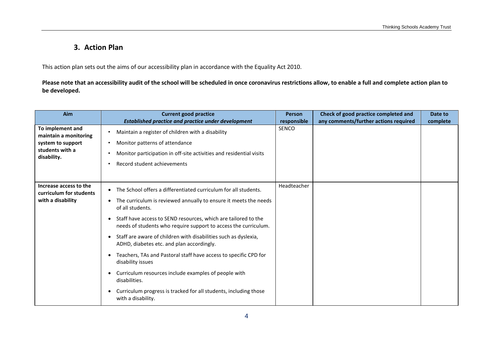## **3. Action Plan**

This action plan sets out the aims of our accessibility plan in accordance with the Equality Act 2010.

**Please note that an accessibility audit of the school will be scheduled in once coronavirus restrictions allow, to enable a full and complete action plan to be developed.**

| Aim                                                                    | <b>Current good practice</b>                                                                                                      | <b>Person</b> | Check of good practice completed and  | Date to  |
|------------------------------------------------------------------------|-----------------------------------------------------------------------------------------------------------------------------------|---------------|---------------------------------------|----------|
|                                                                        | <b>Established practice and practice under development</b>                                                                        | responsible   | any comments/further actions required | complete |
| To implement and<br>maintain a monitoring<br>system to support         | Maintain a register of children with a disability<br>Monitor patterns of attendance                                               | <b>SENCO</b>  |                                       |          |
| students with a<br>disability.                                         | Monitor participation in off-site activities and residential visits                                                               |               |                                       |          |
|                                                                        | Record student achievements                                                                                                       |               |                                       |          |
|                                                                        |                                                                                                                                   |               |                                       |          |
| Increase access to the<br>curriculum for students<br>with a disability | The School offers a differentiated curriculum for all students.<br>$\bullet$                                                      | Headteacher   |                                       |          |
|                                                                        | The curriculum is reviewed annually to ensure it meets the needs<br>of all students.                                              |               |                                       |          |
|                                                                        | Staff have access to SEND resources, which are tailored to the<br>needs of students who require support to access the curriculum. |               |                                       |          |
|                                                                        | Staff are aware of children with disabilities such as dyslexia,<br>ADHD, diabetes etc. and plan accordingly.                      |               |                                       |          |
|                                                                        | Teachers, TAs and Pastoral staff have access to specific CPD for<br>disability issues                                             |               |                                       |          |
|                                                                        | Curriculum resources include examples of people with<br>disabilities.                                                             |               |                                       |          |
|                                                                        | Curriculum progress is tracked for all students, including those<br>with a disability.                                            |               |                                       |          |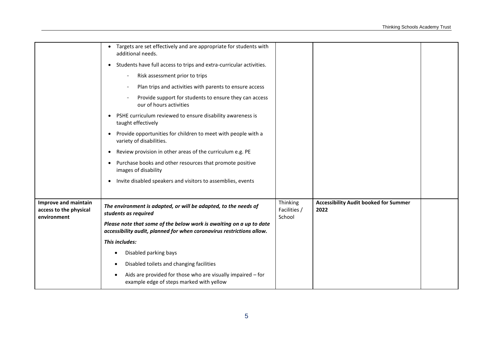|                                                               | • Targets are set effectively and are appropriate for students with<br>additional needs.<br>• Students have full access to trips and extra-curricular activities.<br>Risk assessment prior to trips<br>Plan trips and activities with parents to ensure access<br>Provide support for students to ensure they can access<br>our of hours activities<br>PSHE curriculum reviewed to ensure disability awareness is<br>taught effectively<br>Provide opportunities for children to meet with people with a<br>variety of disabilities.<br>Review provision in other areas of the curriculum e.g. PE<br>Purchase books and other resources that promote positive<br>images of disability<br>Invite disabled speakers and visitors to assemblies, events |                                    |                                                      |  |
|---------------------------------------------------------------|------------------------------------------------------------------------------------------------------------------------------------------------------------------------------------------------------------------------------------------------------------------------------------------------------------------------------------------------------------------------------------------------------------------------------------------------------------------------------------------------------------------------------------------------------------------------------------------------------------------------------------------------------------------------------------------------------------------------------------------------------|------------------------------------|------------------------------------------------------|--|
| Improve and maintain<br>access to the physical<br>environment | The environment is adapted, or will be adapted, to the needs of<br>students as required<br>Please note that some of the below work is awaiting on a up to date<br>accessibility audit, planned for when coronavirus restrictions allow.                                                                                                                                                                                                                                                                                                                                                                                                                                                                                                              | Thinking<br>Facilities /<br>School | <b>Accessibility Audit booked for Summer</b><br>2022 |  |
|                                                               | This includes:                                                                                                                                                                                                                                                                                                                                                                                                                                                                                                                                                                                                                                                                                                                                       |                                    |                                                      |  |
|                                                               | Disabled parking bays                                                                                                                                                                                                                                                                                                                                                                                                                                                                                                                                                                                                                                                                                                                                |                                    |                                                      |  |
|                                                               | Disabled toilets and changing facilities                                                                                                                                                                                                                                                                                                                                                                                                                                                                                                                                                                                                                                                                                                             |                                    |                                                      |  |
|                                                               | Aids are provided for those who are visually impaired - for<br>example edge of steps marked with yellow                                                                                                                                                                                                                                                                                                                                                                                                                                                                                                                                                                                                                                              |                                    |                                                      |  |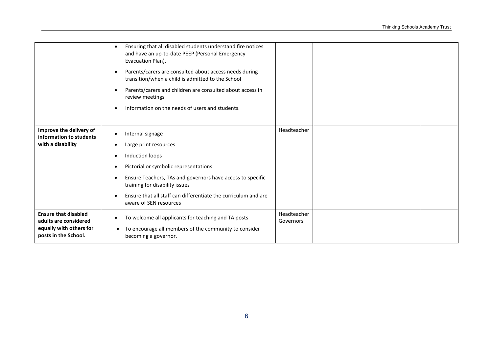|                                                                                                         | Ensuring that all disabled students understand fire notices<br>and have an up-to-date PEEP (Personal Emergency<br>Evacuation Plan).<br>Parents/carers are consulted about access needs during<br>transition/when a child is admitted to the School<br>Parents/carers and children are consulted about access in<br>review meetings<br>Information on the needs of users and students. |                          |  |
|---------------------------------------------------------------------------------------------------------|---------------------------------------------------------------------------------------------------------------------------------------------------------------------------------------------------------------------------------------------------------------------------------------------------------------------------------------------------------------------------------------|--------------------------|--|
| Improve the delivery of<br>information to students<br>with a disability                                 | Internal signage<br>Large print resources<br>Induction loops<br>Pictorial or symbolic representations<br>Ensure Teachers, TAs and governors have access to specific<br>training for disability issues<br>Ensure that all staff can differentiate the curriculum and are<br>aware of SEN resources                                                                                     | Headteacher              |  |
| <b>Ensure that disabled</b><br>adults are considered<br>equally with others for<br>posts in the School. | To welcome all applicants for teaching and TA posts<br>To encourage all members of the community to consider<br>$\bullet$<br>becoming a governor.                                                                                                                                                                                                                                     | Headteacher<br>Governors |  |